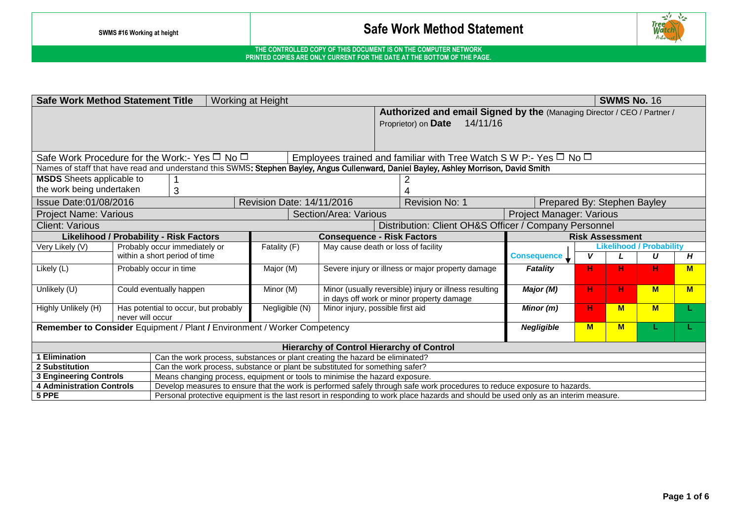

| <b>Safe Work Method Statement Title</b><br><b>SWMS No. 16</b><br>Working at Height                                                     |                                                                                                                                     |                                      |                                                                              |                                                                                                                          |                                  |                                                                                                                                       |                             |                        |    |                                 |          |  |
|----------------------------------------------------------------------------------------------------------------------------------------|-------------------------------------------------------------------------------------------------------------------------------------|--------------------------------------|------------------------------------------------------------------------------|--------------------------------------------------------------------------------------------------------------------------|----------------------------------|---------------------------------------------------------------------------------------------------------------------------------------|-----------------------------|------------------------|----|---------------------------------|----------|--|
|                                                                                                                                        |                                                                                                                                     |                                      |                                                                              |                                                                                                                          |                                  | Authorized and email Signed by the (Managing Director / CEO / Partner /<br>Proprietor) on Date<br>14/11/16                            |                             |                        |    |                                 |          |  |
| Safe Work Procedure for the Work:- Yes $\Box$ No $\Box$<br>Employees trained and familiar with Tree Watch S W P:- Yes $\Box$ No $\Box$ |                                                                                                                                     |                                      |                                                                              |                                                                                                                          |                                  |                                                                                                                                       |                             |                        |    |                                 |          |  |
|                                                                                                                                        |                                                                                                                                     |                                      |                                                                              |                                                                                                                          |                                  | Names of staff that have read and understand this SWMS: Stephen Bayley, Angus Cullenward, Daniel Bayley, Ashley Morrison, David Smith |                             |                        |    |                                 |          |  |
| <b>MSDS</b> Sheets applicable to                                                                                                       |                                                                                                                                     |                                      |                                                                              |                                                                                                                          |                                  |                                                                                                                                       |                             |                        |    |                                 |          |  |
| the work being undertaken                                                                                                              |                                                                                                                                     | 3                                    |                                                                              |                                                                                                                          |                                  |                                                                                                                                       |                             |                        |    |                                 |          |  |
| <b>Issue Date:01/08/2016</b>                                                                                                           |                                                                                                                                     |                                      | Revision Date: 14/11/2016                                                    |                                                                                                                          |                                  | Revision No: 1                                                                                                                        | Prepared By: Stephen Bayley |                        |    |                                 |          |  |
| Section/Area: Various<br><b>Project Name: Various</b>                                                                                  |                                                                                                                                     |                                      |                                                                              |                                                                                                                          |                                  |                                                                                                                                       | Project Manager: Various    |                        |    |                                 |          |  |
| Distribution: Client OH&S Officer / Company Personnel<br><b>Client: Various</b>                                                        |                                                                                                                                     |                                      |                                                                              |                                                                                                                          |                                  |                                                                                                                                       |                             |                        |    |                                 |          |  |
| <b>Likelihood / Probability - Risk Factors</b><br><b>Consequence - Risk Factors</b>                                                    |                                                                                                                                     |                                      |                                                                              |                                                                                                                          |                                  |                                                                                                                                       |                             | <b>Risk Assessment</b> |    |                                 |          |  |
| Very Likely (V)                                                                                                                        |                                                                                                                                     | Probably occur immediately or        | Fatality (F)                                                                 | May cause death or loss of facility                                                                                      |                                  |                                                                                                                                       |                             |                        |    | <b>Likelihood / Probability</b> |          |  |
|                                                                                                                                        |                                                                                                                                     | within a short period of time        |                                                                              |                                                                                                                          |                                  |                                                                                                                                       |                             | V                      |    | U                               | H        |  |
| Likely (L)                                                                                                                             |                                                                                                                                     | Probably occur in time               |                                                                              | Major (M)<br>Severe injury or illness or major property damage                                                           |                                  |                                                                                                                                       |                             | н                      | н  | н                               | $M$      |  |
| Unlikely (U)                                                                                                                           |                                                                                                                                     | Could eventually happen              | Minor (M)                                                                    | Minor (usually reversible) injury or illness resulting                                                                   |                                  |                                                                                                                                       |                             | H                      | н. | <b>M</b>                        | <b>M</b> |  |
|                                                                                                                                        |                                                                                                                                     |                                      |                                                                              |                                                                                                                          |                                  | in days off work or minor property damage                                                                                             |                             |                        |    |                                 |          |  |
| Highly Unlikely (H)                                                                                                                    | never will occur                                                                                                                    | Has potential to occur, but probably | Negligible (N)                                                               |                                                                                                                          | Minor injury, possible first aid | Minor $(m)$                                                                                                                           | н                           | M                      | M  |                                 |          |  |
| Remember to Consider Equipment / Plant / Environment / Worker Competency                                                               |                                                                                                                                     |                                      |                                                                              |                                                                                                                          |                                  |                                                                                                                                       | <b>Negligible</b>           | <b>M</b>               | M  |                                 |          |  |
| <b>Hierarchy of Control Hierarchy of Control</b>                                                                                       |                                                                                                                                     |                                      |                                                                              |                                                                                                                          |                                  |                                                                                                                                       |                             |                        |    |                                 |          |  |
| <b>Elimination</b><br>Can the work process, substances or plant creating the hazard be eliminated?                                     |                                                                                                                                     |                                      |                                                                              |                                                                                                                          |                                  |                                                                                                                                       |                             |                        |    |                                 |          |  |
| 2 Substitution                                                                                                                         |                                                                                                                                     |                                      | Can the work process, substance or plant be substituted for something safer? |                                                                                                                          |                                  |                                                                                                                                       |                             |                        |    |                                 |          |  |
| <b>3 Engineering Controls</b>                                                                                                          |                                                                                                                                     |                                      |                                                                              | Means changing process, equipment or tools to minimise the hazard exposure.                                              |                                  |                                                                                                                                       |                             |                        |    |                                 |          |  |
| <b>4 Administration Controls</b>                                                                                                       |                                                                                                                                     |                                      |                                                                              | Develop measures to ensure that the work is performed safely through safe work procedures to reduce exposure to hazards. |                                  |                                                                                                                                       |                             |                        |    |                                 |          |  |
| 5 PPE                                                                                                                                  | Personal protective equipment is the last resort in responding to work place hazards and should be used only as an interim measure. |                                      |                                                                              |                                                                                                                          |                                  |                                                                                                                                       |                             |                        |    |                                 |          |  |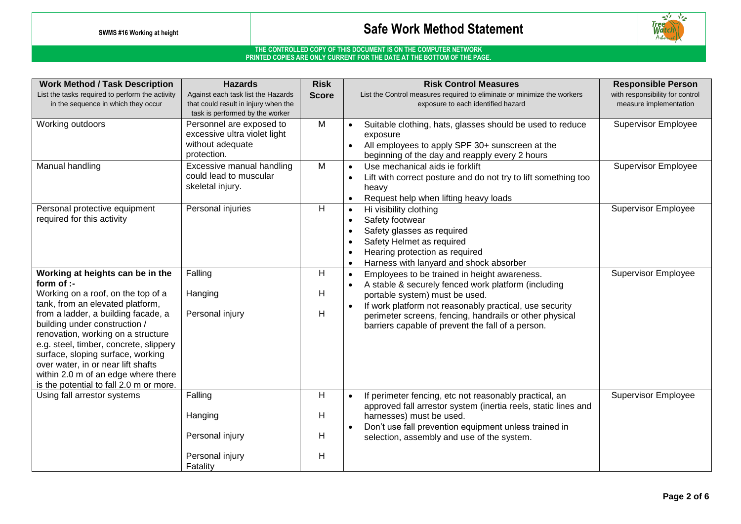### **SWMS #16 Working at height Safe Work Method Statement**



| List the tasks required to perform the activity<br>Against each task list the Hazards<br>List the Control measures required to eliminate or minimize the workers<br><b>Score</b><br>in the sequence in which they occur<br>that could result in injury when the<br>exposure to each identified hazard<br>task is performed by the worker<br>Working outdoors<br>M<br>Personnel are exposed to<br>Suitable clothing, hats, glasses should be used to reduce<br>excessive ultra violet light<br>exposure<br>without adequate<br>All employees to apply SPF 30+ sunscreen at the<br>protection.<br>beginning of the day and reapply every 2 hours<br>M<br>Manual handling<br>Use mechanical aids ie forklift<br>Excessive manual handling<br>could lead to muscular<br>Lift with correct posture and do not try to lift something too<br>skeletal injury.<br>heavy<br>Request help when lifting heavy loads<br>$\bullet$<br>$\overline{H}$<br>Personal injuries<br>Personal protective equipment<br>Hi visibility clothing<br>required for this activity<br>Safety footwear<br>Safety glasses as required<br>Safety Helmet as required<br>Hearing protection as required<br>Harness with lanyard and shock absorber<br>H<br>Working at heights can be in the<br>Falling<br>Employees to be trained in height awareness.<br>form of :-<br>A stable & securely fenced work platform (including<br>H<br>Working on a roof, on the top of a<br>Hanging<br>portable system) must be used.<br>tank, from an elevated platform,<br>If work platform not reasonably practical, use security<br>H<br>from a ladder, a building facade, a<br>Personal injury<br>perimeter screens, fencing, handrails or other physical<br>building under construction /<br>barriers capable of prevent the fall of a person.<br>renovation, working on a structure<br>e.g. steel, timber, concrete, slippery<br>surface, sloping surface, working<br>over water, in or near lift shafts<br>within 2.0 m of an edge where there<br>is the potential to fall 2.0 m or more. | <b>Work Method / Task Description</b> | <b>Responsible Person</b>                                 |
|-----------------------------------------------------------------------------------------------------------------------------------------------------------------------------------------------------------------------------------------------------------------------------------------------------------------------------------------------------------------------------------------------------------------------------------------------------------------------------------------------------------------------------------------------------------------------------------------------------------------------------------------------------------------------------------------------------------------------------------------------------------------------------------------------------------------------------------------------------------------------------------------------------------------------------------------------------------------------------------------------------------------------------------------------------------------------------------------------------------------------------------------------------------------------------------------------------------------------------------------------------------------------------------------------------------------------------------------------------------------------------------------------------------------------------------------------------------------------------------------------------------------------------------------------------------------------------------------------------------------------------------------------------------------------------------------------------------------------------------------------------------------------------------------------------------------------------------------------------------------------------------------------------------------------------------------------------------------------------------------------------------------------------------------------|---------------------------------------|-----------------------------------------------------------|
|                                                                                                                                                                                                                                                                                                                                                                                                                                                                                                                                                                                                                                                                                                                                                                                                                                                                                                                                                                                                                                                                                                                                                                                                                                                                                                                                                                                                                                                                                                                                                                                                                                                                                                                                                                                                                                                                                                                                                                                                                                               |                                       | with responsibility for control<br>measure implementation |
|                                                                                                                                                                                                                                                                                                                                                                                                                                                                                                                                                                                                                                                                                                                                                                                                                                                                                                                                                                                                                                                                                                                                                                                                                                                                                                                                                                                                                                                                                                                                                                                                                                                                                                                                                                                                                                                                                                                                                                                                                                               |                                       | <b>Supervisor Employee</b>                                |
|                                                                                                                                                                                                                                                                                                                                                                                                                                                                                                                                                                                                                                                                                                                                                                                                                                                                                                                                                                                                                                                                                                                                                                                                                                                                                                                                                                                                                                                                                                                                                                                                                                                                                                                                                                                                                                                                                                                                                                                                                                               |                                       | <b>Supervisor Employee</b>                                |
|                                                                                                                                                                                                                                                                                                                                                                                                                                                                                                                                                                                                                                                                                                                                                                                                                                                                                                                                                                                                                                                                                                                                                                                                                                                                                                                                                                                                                                                                                                                                                                                                                                                                                                                                                                                                                                                                                                                                                                                                                                               |                                       | <b>Supervisor Employee</b>                                |
|                                                                                                                                                                                                                                                                                                                                                                                                                                                                                                                                                                                                                                                                                                                                                                                                                                                                                                                                                                                                                                                                                                                                                                                                                                                                                                                                                                                                                                                                                                                                                                                                                                                                                                                                                                                                                                                                                                                                                                                                                                               |                                       | <b>Supervisor Employee</b>                                |
| H<br>Using fall arrestor systems<br>Falling<br>If perimeter fencing, etc not reasonably practical, an<br>approved fall arrestor system (inertia reels, static lines and<br>H<br>Hanging<br>harnesses) must be used.<br>Don't use fall prevention equipment unless trained in<br>H<br>Personal injury<br>selection, assembly and use of the system.<br>H<br>Personal injury<br>Fatality                                                                                                                                                                                                                                                                                                                                                                                                                                                                                                                                                                                                                                                                                                                                                                                                                                                                                                                                                                                                                                                                                                                                                                                                                                                                                                                                                                                                                                                                                                                                                                                                                                                        |                                       | <b>Supervisor Employee</b>                                |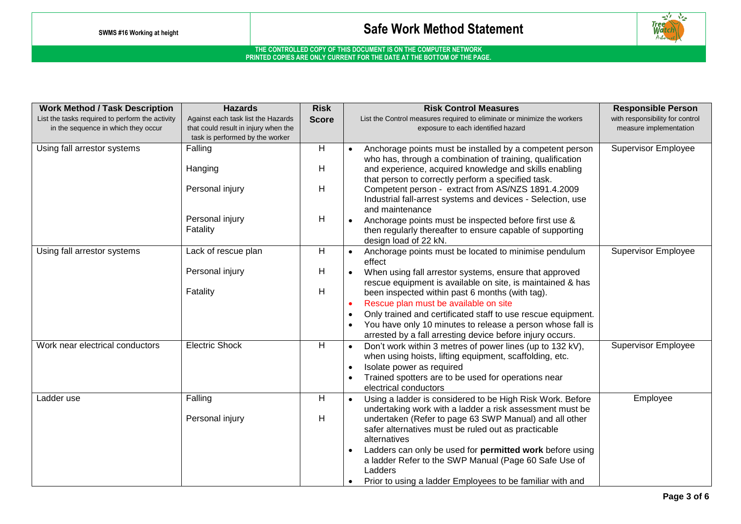

| <b>Work Method / Task Description</b>                                                  | <b>Hazards</b>                                                                                                | <b>Risk</b>  |           | <b>Risk Control Measures</b>                                                                                                                                              | <b>Responsible Person</b>                                 |
|----------------------------------------------------------------------------------------|---------------------------------------------------------------------------------------------------------------|--------------|-----------|---------------------------------------------------------------------------------------------------------------------------------------------------------------------------|-----------------------------------------------------------|
| List the tasks required to perform the activity<br>in the sequence in which they occur | Against each task list the Hazards<br>that could result in injury when the<br>task is performed by the worker | <b>Score</b> |           | List the Control measures required to eliminate or minimize the workers<br>exposure to each identified hazard                                                             | with responsibility for control<br>measure implementation |
| Using fall arrestor systems                                                            | Falling                                                                                                       | H            |           | Anchorage points must be installed by a competent person                                                                                                                  | <b>Supervisor Employee</b>                                |
|                                                                                        | Hanging                                                                                                       | н            |           | who has, through a combination of training, qualification<br>and experience, acquired knowledge and skills enabling<br>that person to correctly perform a specified task. |                                                           |
|                                                                                        | Personal injury                                                                                               | H            |           | Competent person - extract from AS/NZS 1891.4.2009<br>Industrial fall-arrest systems and devices - Selection, use<br>and maintenance                                      |                                                           |
|                                                                                        | Personal injury                                                                                               | H            |           | Anchorage points must be inspected before first use &                                                                                                                     |                                                           |
|                                                                                        | Fatality                                                                                                      |              |           | then regularly thereafter to ensure capable of supporting<br>design load of 22 kN.                                                                                        |                                                           |
| Using fall arrestor systems                                                            | Lack of rescue plan                                                                                           | H            | $\bullet$ | Anchorage points must be located to minimise pendulum<br>effect                                                                                                           | <b>Supervisor Employee</b>                                |
|                                                                                        | Personal injury                                                                                               | H            | $\bullet$ | When using fall arrestor systems, ensure that approved                                                                                                                    |                                                           |
|                                                                                        | Fatality                                                                                                      | H            |           | rescue equipment is available on site, is maintained & has<br>been inspected within past 6 months (with tag).                                                             |                                                           |
|                                                                                        |                                                                                                               |              |           | Rescue plan must be available on site                                                                                                                                     |                                                           |
|                                                                                        |                                                                                                               |              |           | Only trained and certificated staff to use rescue equipment.                                                                                                              |                                                           |
|                                                                                        |                                                                                                               |              |           | You have only 10 minutes to release a person whose fall is                                                                                                                |                                                           |
|                                                                                        |                                                                                                               |              |           | arrested by a fall arresting device before injury occurs.                                                                                                                 |                                                           |
| Work near electrical conductors                                                        | <b>Electric Shock</b>                                                                                         | H            | $\bullet$ | Don't work within 3 metres of power lines (up to 132 kV),<br>when using hoists, lifting equipment, scaffolding, etc.                                                      | <b>Supervisor Employee</b>                                |
|                                                                                        |                                                                                                               |              |           | Isolate power as required                                                                                                                                                 |                                                           |
|                                                                                        |                                                                                                               |              |           | Trained spotters are to be used for operations near                                                                                                                       |                                                           |
| Ladder use                                                                             |                                                                                                               |              |           | electrical conductors                                                                                                                                                     |                                                           |
|                                                                                        | Falling                                                                                                       | H            |           | Using a ladder is considered to be High Risk Work. Before<br>undertaking work with a ladder a risk assessment must be                                                     | Employee                                                  |
|                                                                                        | Personal injury                                                                                               | H            |           | undertaken (Refer to page 63 SWP Manual) and all other                                                                                                                    |                                                           |
|                                                                                        |                                                                                                               |              |           | safer alternatives must be ruled out as practicable<br>alternatives                                                                                                       |                                                           |
|                                                                                        |                                                                                                               |              |           | Ladders can only be used for permitted work before using                                                                                                                  |                                                           |
|                                                                                        |                                                                                                               |              |           | a ladder Refer to the SWP Manual (Page 60 Safe Use of                                                                                                                     |                                                           |
|                                                                                        |                                                                                                               |              |           | Ladders                                                                                                                                                                   |                                                           |
|                                                                                        |                                                                                                               |              |           | Prior to using a ladder Employees to be familiar with and                                                                                                                 |                                                           |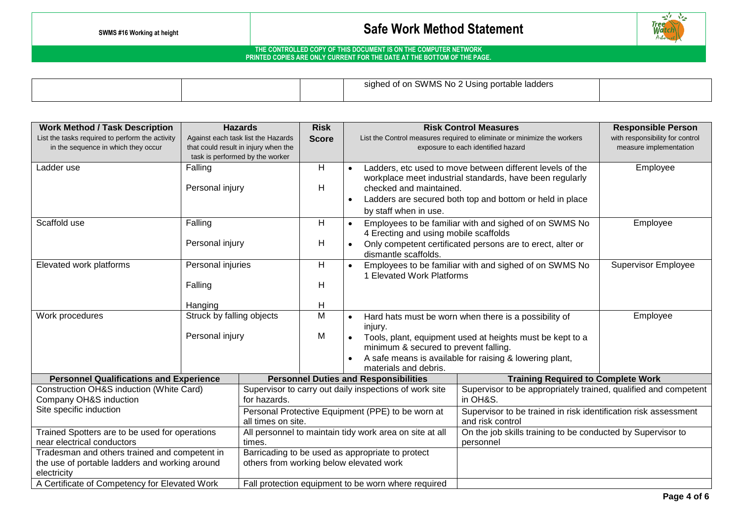

|  | sighed of on SWMS No 2 Using portable ladders<br>$\sim$ |  |
|--|---------------------------------------------------------|--|
|  |                                                         |  |

| <b>Work Method / Task Description</b>           |                                                                   | <b>Hazards</b>                                                          | <b>Risk</b>                                            |                         |                                                            | <b>Risk Control Measures</b>                                                    | <b>Responsible Person</b>       |
|-------------------------------------------------|-------------------------------------------------------------------|-------------------------------------------------------------------------|--------------------------------------------------------|-------------------------|------------------------------------------------------------|---------------------------------------------------------------------------------|---------------------------------|
| List the tasks required to perform the activity |                                                                   | Against each task list the Hazards                                      | <b>Score</b>                                           |                         |                                                            | List the Control measures required to eliminate or minimize the workers         | with responsibility for control |
| in the sequence in which they occur             |                                                                   | that could result in injury when the<br>task is performed by the worker |                                                        |                         |                                                            | exposure to each identified hazard                                              | measure implementation          |
| Ladder use                                      | Falling                                                           |                                                                         | H                                                      |                         |                                                            | Ladders, etc used to move between different levels of the                       | Employee                        |
|                                                 |                                                                   |                                                                         |                                                        |                         |                                                            | workplace meet industrial standards, have been regularly                        |                                 |
|                                                 | Personal injury                                                   |                                                                         | H                                                      | checked and maintained. |                                                            |                                                                                 |                                 |
|                                                 |                                                                   |                                                                         |                                                        |                         |                                                            | Ladders are secured both top and bottom or held in place                        |                                 |
|                                                 |                                                                   |                                                                         |                                                        |                         | by staff when in use.                                      |                                                                                 |                                 |
| Scaffold use                                    | Falling                                                           |                                                                         | H                                                      |                         |                                                            | Employees to be familiar with and sighed of on SWMS No                          | Employee                        |
|                                                 |                                                                   |                                                                         |                                                        |                         | 4 Erecting and using mobile scaffolds                      |                                                                                 |                                 |
|                                                 | Personal injury                                                   |                                                                         | H                                                      |                         | Only competent certificated persons are to erect, alter or |                                                                                 |                                 |
|                                                 |                                                                   |                                                                         | H                                                      |                         | dismantle scaffolds.                                       |                                                                                 |                                 |
| Elevated work platforms                         | Personal injuries                                                 |                                                                         |                                                        |                         | 1 Elevated Work Platforms                                  | Employees to be familiar with and sighed of on SWMS No                          | <b>Supervisor Employee</b>      |
|                                                 | Falling                                                           |                                                                         | H                                                      |                         |                                                            |                                                                                 |                                 |
|                                                 |                                                                   |                                                                         |                                                        |                         |                                                            |                                                                                 |                                 |
| Hanging                                         |                                                                   |                                                                         | H                                                      |                         |                                                            |                                                                                 |                                 |
| Work procedures                                 | <b>Struck by falling objects</b>                                  |                                                                         | M                                                      |                         | Hard hats must be worn when there is a possibility of      |                                                                                 | Employee                        |
|                                                 |                                                                   |                                                                         | М                                                      |                         | injury.                                                    |                                                                                 |                                 |
| Personal injury                                 |                                                                   |                                                                         |                                                        |                         | minimum & secured to prevent falling.                      | Tools, plant, equipment used at heights must be kept to a                       |                                 |
|                                                 |                                                                   |                                                                         |                                                        |                         |                                                            | A safe means is available for raising & lowering plant,                         |                                 |
|                                                 |                                                                   |                                                                         |                                                        |                         | materials and debris.                                      |                                                                                 |                                 |
| <b>Personnel Qualifications and Experience</b>  |                                                                   |                                                                         | <b>Personnel Duties and Responsibilities</b>           |                         |                                                            | <b>Training Required to Complete Work</b>                                       |                                 |
| Construction OH&S induction (White Card)        |                                                                   |                                                                         | Supervisor to carry out daily inspections of work site |                         |                                                            | Supervisor to be appropriately trained, qualified and competent                 |                                 |
| Company OH&S induction                          |                                                                   | for hazards.                                                            |                                                        |                         |                                                            | in OH&S.                                                                        |                                 |
| Site specific induction                         |                                                                   | Personal Protective Equipment (PPE) to be worn at                       |                                                        |                         |                                                            | Supervisor to be trained in risk identification risk assessment                 |                                 |
| Trained Spotters are to be used for operations  |                                                                   | all times on site.                                                      |                                                        |                         |                                                            | and risk control<br>On the job skills training to be conducted by Supervisor to |                                 |
| near electrical conductors                      | All personnel to maintain tidy work area on site at all<br>times. |                                                                         |                                                        |                         | personnel                                                  |                                                                                 |                                 |
| Tradesman and others trained and competent in   |                                                                   |                                                                         |                                                        |                         | Barricading to be used as appropriate to protect           |                                                                                 |                                 |
| the use of portable ladders and working around  |                                                                   | others from working below elevated work                                 |                                                        |                         |                                                            |                                                                                 |                                 |
| electricity                                     |                                                                   |                                                                         |                                                        |                         |                                                            |                                                                                 |                                 |
| A Certificate of Competency for Elevated Work   |                                                                   |                                                                         |                                                        |                         | Fall protection equipment to be worn where required        |                                                                                 |                                 |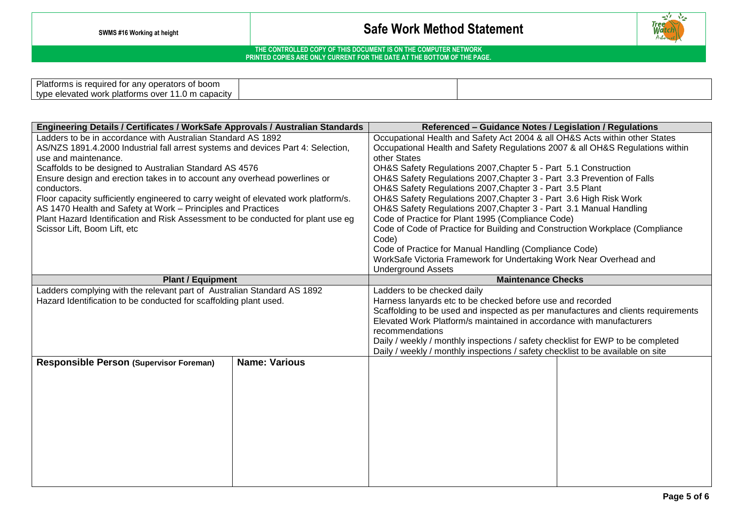

| Platforms<br>s is required for any operators of boom                   |  |
|------------------------------------------------------------------------|--|
| capacity<br>l type elevated work platforms over 11.<br>$1.0 \text{ m}$ |  |

| Engineering Details / Certificates / WorkSafe Approvals / Australian Standards      |                      | Referenced - Guidance Notes / Legislation / Regulations                                                                                                            |  |  |
|-------------------------------------------------------------------------------------|----------------------|--------------------------------------------------------------------------------------------------------------------------------------------------------------------|--|--|
| Ladders to be in accordance with Australian Standard AS 1892                        |                      | Occupational Health and Safety Act 2004 & all OH&S Acts within other States                                                                                        |  |  |
| AS/NZS 1891.4.2000 Industrial fall arrest systems and devices Part 4: Selection,    |                      | Occupational Health and Safety Regulations 2007 & all OH&S Regulations within                                                                                      |  |  |
| use and maintenance.                                                                |                      | other States                                                                                                                                                       |  |  |
| Scaffolds to be designed to Australian Standard AS 4576                             |                      | OH&S Safety Regulations 2007, Chapter 5 - Part 5.1 Construction                                                                                                    |  |  |
| Ensure design and erection takes in to account any overhead powerlines or           |                      | OH&S Safety Regulations 2007, Chapter 3 - Part 3.3 Prevention of Falls                                                                                             |  |  |
| conductors.                                                                         |                      | OH&S Safety Regulations 2007, Chapter 3 - Part 3.5 Plant                                                                                                           |  |  |
| Floor capacity sufficiently engineered to carry weight of elevated work platform/s. |                      | OH&S Safety Regulations 2007, Chapter 3 - Part 3.6 High Risk Work                                                                                                  |  |  |
| AS 1470 Health and Safety at Work - Principles and Practices                        |                      | OH&S Safety Regulations 2007, Chapter 3 - Part 3.1 Manual Handling                                                                                                 |  |  |
| Plant Hazard Identification and Risk Assessment to be conducted for plant use eg    |                      | Code of Practice for Plant 1995 (Compliance Code)                                                                                                                  |  |  |
| Scissor Lift, Boom Lift, etc                                                        |                      | Code of Code of Practice for Building and Construction Workplace (Compliance                                                                                       |  |  |
|                                                                                     |                      | Code)                                                                                                                                                              |  |  |
|                                                                                     |                      | Code of Practice for Manual Handling (Compliance Code)                                                                                                             |  |  |
|                                                                                     |                      | WorkSafe Victoria Framework for Undertaking Work Near Overhead and                                                                                                 |  |  |
|                                                                                     |                      | <b>Underground Assets</b>                                                                                                                                          |  |  |
| <b>Plant / Equipment</b>                                                            |                      | <b>Maintenance Checks</b>                                                                                                                                          |  |  |
| Ladders complying with the relevant part of Australian Standard AS 1892             |                      | Ladders to be checked daily                                                                                                                                        |  |  |
| Hazard Identification to be conducted for scaffolding plant used.                   |                      | Harness lanyards etc to be checked before use and recorded                                                                                                         |  |  |
|                                                                                     |                      | Scaffolding to be used and inspected as per manufactures and clients requirements<br>Elevated Work Platform/s maintained in accordance with manufacturers          |  |  |
|                                                                                     |                      |                                                                                                                                                                    |  |  |
|                                                                                     |                      | recommendations                                                                                                                                                    |  |  |
|                                                                                     |                      | Daily / weekly / monthly inspections / safety checklist for EWP to be completed<br>Daily / weekly / monthly inspections / safety checklist to be available on site |  |  |
|                                                                                     |                      |                                                                                                                                                                    |  |  |
| <b>Responsible Person (Supervisor Foreman)</b>                                      | <b>Name: Various</b> |                                                                                                                                                                    |  |  |
|                                                                                     |                      |                                                                                                                                                                    |  |  |
|                                                                                     |                      |                                                                                                                                                                    |  |  |
|                                                                                     |                      |                                                                                                                                                                    |  |  |
|                                                                                     |                      |                                                                                                                                                                    |  |  |
|                                                                                     |                      |                                                                                                                                                                    |  |  |
|                                                                                     |                      |                                                                                                                                                                    |  |  |
|                                                                                     |                      |                                                                                                                                                                    |  |  |
|                                                                                     |                      |                                                                                                                                                                    |  |  |
|                                                                                     |                      |                                                                                                                                                                    |  |  |
|                                                                                     |                      |                                                                                                                                                                    |  |  |
|                                                                                     |                      |                                                                                                                                                                    |  |  |